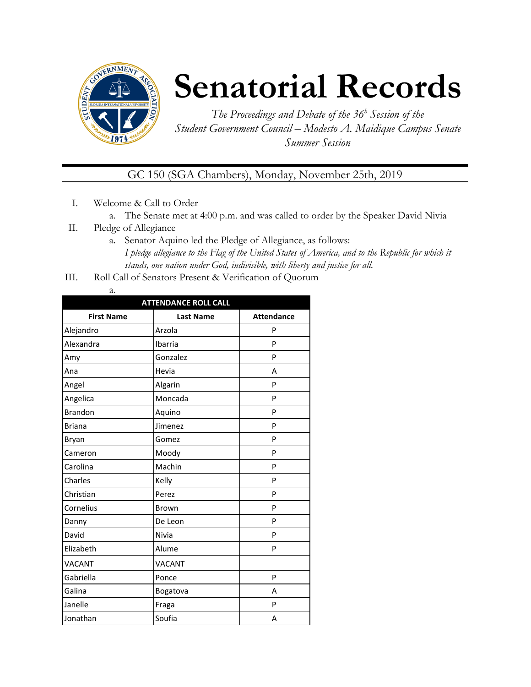

## **Senatorial Records**

*The Proceedings and Debate of the 36 <sup>h</sup> Session of the Student Government Council – Modesto A. Maidique Campus Senate Summer Session*

GC 150 (SGA Chambers), Monday, November 25th, 2019

- I. Welcome & Call to Order
	- a. The Senate met at 4:00 p.m. and was called to order by the Speaker David Nivia
- II. Pledge of Allegiance
	- a. Senator Aquino led the Pledge of Allegiance, as follows: *I pledge allegiance to the Flag of the United States of America, and to the Republic for which it stands, one nation under God, indivisible, with liberty and justice for all.*
- III. Roll Call of Senators Present & Verification of Quorum
	- a.

| <b>ATTENDANCE ROLL CALL</b> |                  |                   |  |  |
|-----------------------------|------------------|-------------------|--|--|
| <b>First Name</b>           | <b>Last Name</b> | <b>Attendance</b> |  |  |
| Alejandro                   | Arzola           | P                 |  |  |
| Alexandra                   | Ibarria          | P                 |  |  |
| Amy                         | Gonzalez         | P                 |  |  |
| Ana                         | Hevia            | A                 |  |  |
| Angel                       | Algarin          | P                 |  |  |
| Angelica                    | Moncada          | P                 |  |  |
| <b>Brandon</b>              | Aquino           | P                 |  |  |
| <b>Briana</b>               | Jimenez          | P                 |  |  |
| Bryan                       | Gomez            | P                 |  |  |
| Cameron                     | Moody            | P                 |  |  |
| Carolina                    | Machin           | P                 |  |  |
| Charles                     | Kelly            | P                 |  |  |
| Christian                   | Perez            | P                 |  |  |
| Cornelius                   | Brown            | P                 |  |  |
| Danny                       | De Leon          | P                 |  |  |
| David                       | Nivia            | P                 |  |  |
| Elizabeth                   | Alume            | P                 |  |  |
| <b>VACANT</b>               | <b>VACANT</b>    |                   |  |  |
| Gabriella                   | Ponce            | P                 |  |  |
| Galina                      | Bogatova         | A                 |  |  |
| Janelle                     | Fraga            | P                 |  |  |
| Jonathan                    | Soufia           | Α                 |  |  |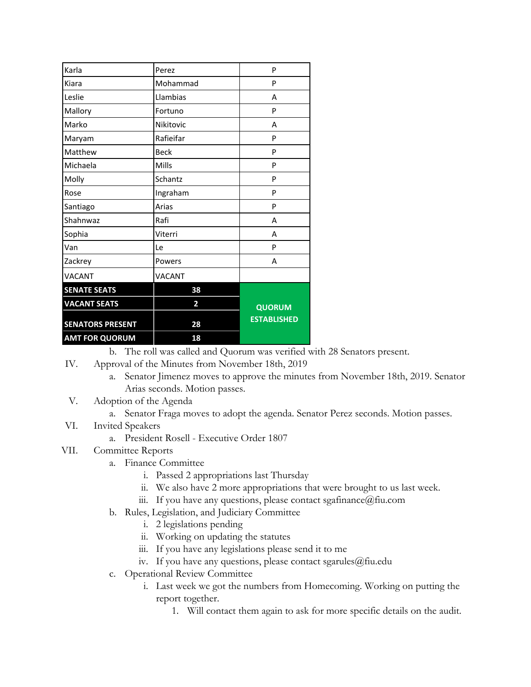| <b>SENATORS PRESENT</b><br><b>AMT FOR QUORUM</b> | 28<br>18      | <b>ESTABLISHED</b> |
|--------------------------------------------------|---------------|--------------------|
| <b>VACANT SEATS</b>                              | 2             | <b>QUORUM</b>      |
| <b>SENATE SEATS</b>                              | 38            |                    |
| <b>VACANT</b>                                    | <b>VACANT</b> |                    |
| Zackrey                                          | Powers        | А                  |
| Van                                              | Le            | P                  |
| Sophia                                           | Viterri       | Α                  |
| Shahnwaz                                         | Rafi          | Α                  |
| Santiago                                         | Arias         | P                  |
| Rose                                             | Ingraham      | P                  |
| Molly                                            | Schantz       | P                  |
| Michaela                                         | Mills         | P                  |
| Matthew                                          | <b>Beck</b>   | P                  |
| Maryam                                           | Rafieifar     | P                  |
| Marko                                            | Nikitovic     | А                  |
| Mallory                                          | Fortuno       | P                  |
| Leslie                                           | Llambias      | А                  |
| Kiara                                            | Mohammad      | P                  |
| Karla                                            | Perez         | P                  |

b. The roll was called and Quorum was verified with 28 Senators present.

- IV. Approval of the Minutes from November 18th, 2019
	- a. Senator Jimenez moves to approve the minutes from November 18th, 2019. Senator Arias seconds. Motion passes.
- V. Adoption of the Agenda
	- a. Senator Fraga moves to adopt the agenda. Senator Perez seconds. Motion passes.

## VI. Invited Speakers

a. President Rosell - Executive Order 1807

## VII. Committee Reports

- a. Finance Committee
	- i. Passed 2 appropriations last Thursday
	- ii. We also have 2 more appropriations that were brought to us last week.
	- iii. If you have any questions, please contact sgafinance@fiu.com
- b. Rules, Legislation, and Judiciary Committee
	- i. 2 legislations pending
	- ii. Working on updating the statutes
	- iii. If you have any legislations please send it to me
	- iv. If you have any questions, please contact sgarules@fiu.edu
- c. Operational Review Committee
	- i. Last week we got the numbers from Homecoming. Working on putting the report together.
		- 1. Will contact them again to ask for more specific details on the audit.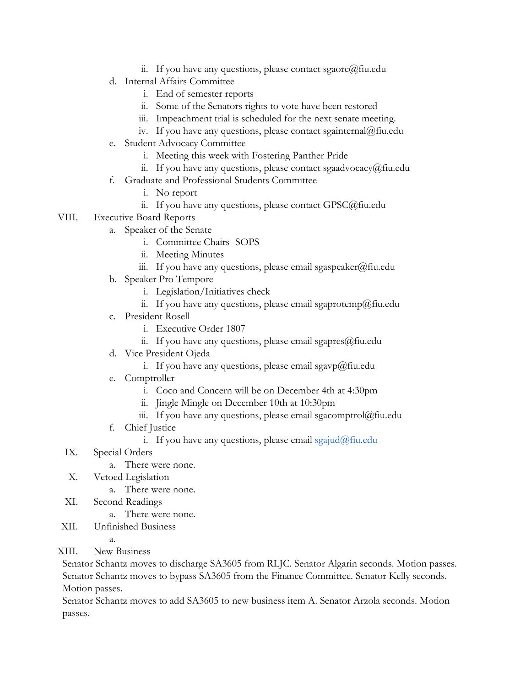- ii. If you have any questions, please contact sgaorc $@$ fiu.edu
- d. Internal Affairs Committee
	- i. End of semester reports
	- ii. Some of the Senators rights to vote have been restored
	- iii. Impeachment trial is scheduled for the next senate meeting.
	- iv. If you have any questions, please contact sgainternal@fiu.edu
- e. Student Advocacy Committee
	- i. Meeting this week with Fostering Panther Pride
	- ii. If you have any questions, please contact sgaadvocacy@fiu.edu
- f. Graduate and Professional Students Committee
	- i. No report
	- ii. If you have any questions, please contact GPSC@fiu.edu
- VIII. Executive Board Reports
	- a. Speaker of the Senate
		- i. Committee Chairs- SOPS
		- ii. Meeting Minutes
		- iii. If you have any questions, please email sgaspeaker@fiu.edu
	- b. Speaker Pro Tempore
		- i. Legislation/Initiatives check
		- ii. If you have any questions, please email sgaprotemp@fiu.edu
	- c. President Rosell
		- i. Executive Order 1807
		- ii. If you have any questions, please email sgapres $@$ fiu.edu
	- d. Vice President Ojeda
		- i. If you have any questions, please email sgavp@fiu.edu
	- e. Comptroller
		- i. Coco and Concern will be on December 4th at 4:30pm
		- ii. Jingle Mingle on December 10th at 10:30pm
		- iii. If you have any questions, please email sgacomptrol@fiu.edu
	- f. Chief Justice
		- i. If you have any questions, please email  $\frac{\sigma}{2}$  seajud $\omega$ fiu.edu
	- IX. Special Orders
		- a. There were none.
	- X. Vetoed Legislation
		- a. There were none.
	- XI. Second Readings
		- a. There were none.
- XII. Unfinished Business
	- a.
- XIII. New Business

Senator Schantz moves to discharge SA3605 from RLJC. Senator Algarin seconds. Motion passes. Senator Schantz moves to bypass SA3605 from the Finance Committee. Senator Kelly seconds. Motion passes.

Senator Schantz moves to add SA3605 to new business item A. Senator Arzola seconds. Motion passes.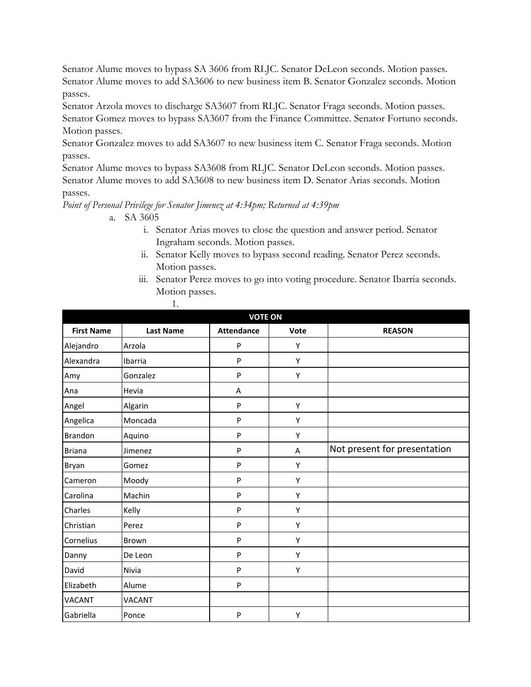Senator Alume moves to bypass SA 3606 from RLJC. Senator DeLeon seconds. Motion passes. Senator Alume moves to add SA3606 to new business item B. Senator Gonzalez seconds. Motion passes.

Senator Arzola moves to discharge SA3607 from RLJC. Senator Fraga seconds. Motion passes. Senator Gomez moves to bypass SA3607 from the Finance Committee. Senator Fortuno seconds. Motion passes.

Senator Gonzalez moves to add SA3607 to new business item C. Senator Fraga seconds. Motion passes.

Senator Alume moves to bypass SA3608 from RLJC. Senator DeLeon seconds. Motion passes. Senator Alume moves to add SA3608 to new business item D. Senator Arias seconds. Motion passes.

*Point of Personal Privilege for Senator Jimenez at 4:34pm; Returned at 4:39pm*

1.

- a. SA 3605
	- i. Senator Arias moves to close the question and answer period. Senator Ingraham seconds. Motion passes.
	- ii. Senator Kelly moves to bypass second reading. Senator Perez seconds. Motion passes.
	- iii. Senator Perez moves to go into voting procedure. Senator Ibarria seconds. Motion passes.

| <b>VOTE ON</b>    |                  |                   |      |                              |
|-------------------|------------------|-------------------|------|------------------------------|
| <b>First Name</b> | <b>Last Name</b> | <b>Attendance</b> | Vote | <b>REASON</b>                |
| Alejandro         | Arzola           | P                 | Υ    |                              |
| Alexandra         | Ibarria          | P                 | Υ    |                              |
| Amy               | Gonzalez         | P                 | Υ    |                              |
| Ana               | Hevia            | Α                 |      |                              |
| Angel             | Algarin          | P                 | Υ    |                              |
| Angelica          | Moncada          | $\mathsf{P}$      | Y    |                              |
| <b>Brandon</b>    | Aquino           | P                 | Υ    |                              |
| <b>Briana</b>     | Jimenez          | P                 | A    | Not present for presentation |
| Bryan             | Gomez            | P                 | Υ    |                              |
| Cameron           | Moody            | $\mathsf{P}$      | Υ    |                              |
| Carolina          | Machin           | P                 | Υ    |                              |
| Charles           | Kelly            | $\mathsf{P}$      | Υ    |                              |
| Christian         | Perez            | ${\sf P}$         | Υ    |                              |
| Cornelius         | Brown            | P                 | Υ    |                              |
| Danny             | De Leon          | P                 | Υ    |                              |
| David             | Nivia            | P                 | Υ    |                              |
| Elizabeth         | Alume            | P                 |      |                              |
| <b>VACANT</b>     | <b>VACANT</b>    |                   |      |                              |
| Gabriella         | Ponce            | P                 | Y    |                              |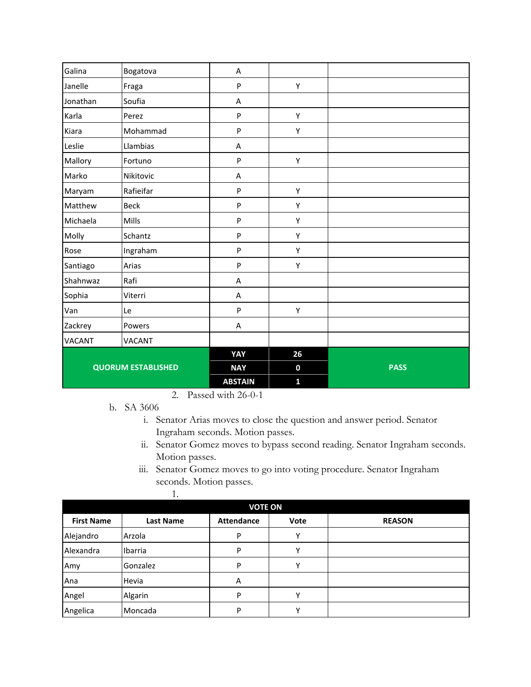| Galina        | Bogatova                  | A              |              |             |
|---------------|---------------------------|----------------|--------------|-------------|
| Janelle       | Fraga                     | P              | Υ            |             |
| Jonathan      | Soufia                    | A              |              |             |
| Karla         | Perez                     | $\mathsf{P}$   | Υ            |             |
| Kiara         | Mohammad                  | P              | Υ            |             |
| Leslie        | Llambias                  | A              |              |             |
| Mallory       | Fortuno                   | P              | Υ            |             |
| Marko         | Nikitovic                 | A              |              |             |
| Maryam        | Rafieifar                 | P              | Υ            |             |
| Matthew       | <b>Beck</b>               | P              | Υ            |             |
| Michaela      | Mills                     | P              | Υ            |             |
| Molly         | Schantz                   | P              | Υ            |             |
| Rose          | Ingraham                  | P              | Υ            |             |
| Santiago      | Arias                     | P              | Υ            |             |
| Shahnwaz      | Rafi                      | A              |              |             |
| Sophia        | Viterri                   | A              |              |             |
| Van           | Le                        | P              | Υ            |             |
| Zackrey       | Powers                    | A              |              |             |
| <b>VACANT</b> | VACANT                    |                |              |             |
|               |                           | YAY            | 26           |             |
|               | <b>QUORUM ESTABLISHED</b> | <b>NAY</b>     | $\bf{0}$     | <b>PASS</b> |
|               |                           | <b>ABSTAIN</b> | $\mathbf{1}$ |             |

- 2. Passed with 26-0-1
- b. SA 3606

1.

- i. Senator Arias moves to close the question and answer period. Senator Ingraham seconds. Motion passes.
- ii. Senator Gomez moves to bypass second reading. Senator Ingraham seconds. Motion passes.
- iii. Senator Gomez moves to go into voting procedure. Senator Ingraham seconds. Motion passes.

| <b>VOTE ON</b>    |                  |                   |              |               |
|-------------------|------------------|-------------------|--------------|---------------|
| <b>First Name</b> | <b>Last Name</b> | <b>Attendance</b> | Vote         | <b>REASON</b> |
| Alejandro         | Arzola           | P                 | v            |               |
| Alexandra         | Ibarria          | P                 | v            |               |
| Amy               | Gonzalez         | P                 | $\checkmark$ |               |
| Ana               | Hevia            | Α                 |              |               |
| Angel             | Algarin          | P                 |              |               |
| Angelica          | Moncada          | P                 |              |               |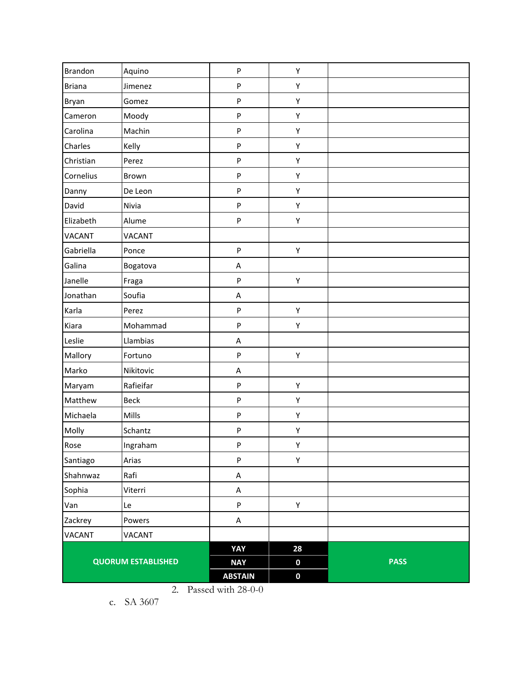| <b>Brandon</b> | Aquino                    | ${\sf P}$      | Υ           |             |
|----------------|---------------------------|----------------|-------------|-------------|
| <b>Briana</b>  | Jimenez                   | ${\sf P}$      | Υ           |             |
| Bryan          | Gomez                     | ${\sf P}$      | Υ           |             |
| Cameron        | Moody                     | ${\sf P}$      | Υ           |             |
| Carolina       | Machin                    | $\sf P$        | Υ           |             |
| Charles        | Kelly                     | ${\sf P}$      | Υ           |             |
| Christian      | Perez                     | ${\sf P}$      | Υ           |             |
| Cornelius      | Brown                     | ${\sf P}$      | Υ           |             |
| Danny          | De Leon                   | ${\sf P}$      | Υ           |             |
| David          | Nivia                     | $\sf P$        | Υ           |             |
| Elizabeth      | Alume                     | ${\sf P}$      | Υ           |             |
| VACANT         | VACANT                    |                |             |             |
| Gabriella      | Ponce                     | ${\sf P}$      | Υ           |             |
| Galina         | Bogatova                  | Α              |             |             |
| Janelle        | Fraga                     | $\sf P$        | Υ           |             |
| Jonathan       | Soufia                    | A              |             |             |
| Karla          | Perez                     | ${\sf P}$      | Υ           |             |
| Kiara          | Mohammad                  | ${\sf P}$      | Υ           |             |
| Leslie         | Llambias                  | A              |             |             |
| Mallory        | Fortuno                   | $\sf P$        | Υ           |             |
| Marko          | Nikitovic                 | A              |             |             |
| Maryam         | Rafieifar                 | $\sf P$        | Υ           |             |
| Matthew        | <b>Beck</b>               | ${\sf P}$      | Υ           |             |
| Michaela       | Mills                     | ${\sf P}$      | Υ           |             |
| Molly          | Schantz                   | ${\sf P}$      | Υ           |             |
| Rose           | Ingraham                  | ${\sf P}$      | Υ           |             |
| Santiago       | Arias                     | ${\sf P}$      | Υ           |             |
| Shahnwaz       | Rafi                      | A              |             |             |
| Sophia         | Viterri                   | $\sf A$        |             |             |
| Van            | Le                        | ${\sf P}$      | Υ           |             |
| Zackrey        | Powers                    | $\sf A$        |             |             |
| <b>VACANT</b>  | VACANT                    |                |             |             |
|                |                           | YAY            | 28          |             |
|                | <b>QUORUM ESTABLISHED</b> | <b>NAY</b>     | $\mathbf 0$ | <b>PASS</b> |
|                |                           | <b>ABSTAIN</b> | $\mathbf 0$ |             |

2. Passed with 28-0-0

c. SA 3607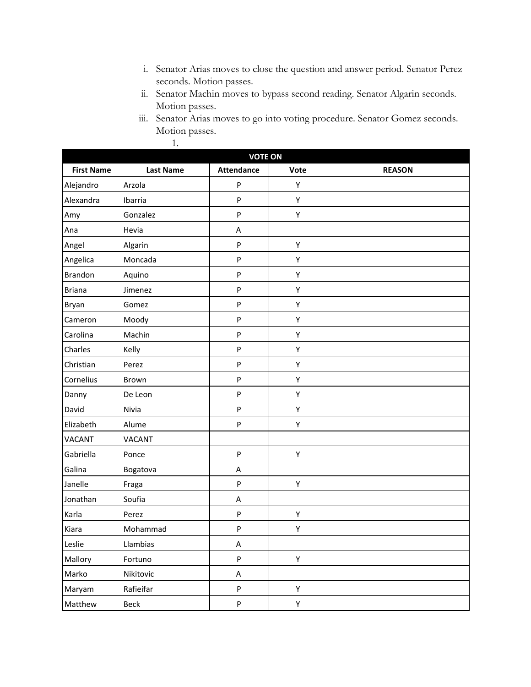- i. Senator Arias moves to close the question and answer period. Senator Perez seconds. Motion passes.
- ii. Senator Machin moves to bypass second reading. Senator Algarin seconds. Motion passes.
- iii. Senator Arias moves to go into voting procedure. Senator Gomez seconds. Motion passes.

1.

| <b>VOTE ON</b>    |                  |                   |      |               |
|-------------------|------------------|-------------------|------|---------------|
| <b>First Name</b> | <b>Last Name</b> | <b>Attendance</b> | Vote | <b>REASON</b> |
| Alejandro         | Arzola           | P                 | Υ    |               |
| Alexandra         | Ibarria          | P                 | Υ    |               |
| Amy               | Gonzalez         | P                 | Υ    |               |
| Ana               | Hevia            | A                 |      |               |
| Angel             | Algarin          | P                 | Υ    |               |
| Angelica          | Moncada          | P                 | Υ    |               |
| Brandon           | Aquino           | P                 | Υ    |               |
| <b>Briana</b>     | Jimenez          | P                 | Υ    |               |
| Bryan             | Gomez            | P                 | Υ    |               |
| Cameron           | Moody            | P                 | Υ    |               |
| Carolina          | Machin           | P                 | Υ    |               |
| Charles           | Kelly            | P                 | Υ    |               |
| Christian         | Perez            | P                 | Υ    |               |
| Cornelius         | Brown            | P                 | Υ    |               |
| Danny             | De Leon          | P                 | Υ    |               |
| David             | Nivia            | P                 | Υ    |               |
| Elizabeth         | Alume            | P                 | Υ    |               |
| <b>VACANT</b>     | <b>VACANT</b>    |                   |      |               |
| Gabriella         | Ponce            | P                 | Υ    |               |
| Galina            | Bogatova         | Α                 |      |               |
| Janelle           | Fraga            | P                 | Υ    |               |
| Jonathan          | Soufia           | Α                 |      |               |
| Karla             | Perez            | P                 | Υ    |               |
| Kiara             | Mohammad         | P                 | Υ    |               |
| Leslie            | Llambias         | $\sf A$           |      |               |
| Mallory           | Fortuno          | P                 | Υ    |               |
| Marko             | Nikitovic        | A                 |      |               |
| Maryam            | Rafieifar        | P                 | Υ    |               |
| Matthew           | Beck             | ${\sf P}$         | Υ    |               |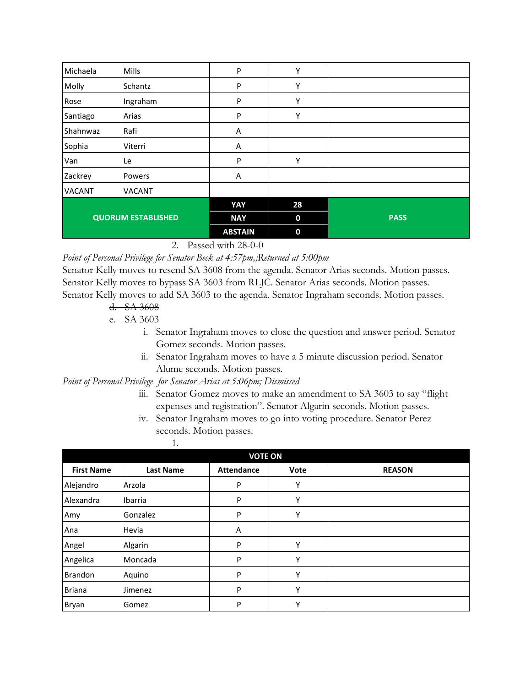| Michaela      | Mills                     | ${\sf P}$      | Υ           |             |
|---------------|---------------------------|----------------|-------------|-------------|
| Molly         | Schantz                   | P              | Υ           |             |
| Rose          | Ingraham                  | P              | Υ           |             |
| Santiago      | Arias                     | P              | Υ           |             |
| Shahnwaz      | Rafi                      | A              |             |             |
| Sophia        | Viterri                   | Α              |             |             |
| Van           | Le                        | P              | Υ           |             |
| Zackrey       | Powers                    | A              |             |             |
| <b>VACANT</b> | <b>VACANT</b>             |                |             |             |
|               |                           | YAY            | 28          |             |
|               | <b>QUORUM ESTABLISHED</b> | <b>NAY</b>     | $\mathbf 0$ | <b>PASS</b> |
|               |                           | <b>ABSTAIN</b> | $\mathbf 0$ |             |

2. Passed with 28-0-0

*Point of Personal Privilege for Senator Beck at 4:57pm,;Returned at 5:00pm*

Senator Kelly moves to resend SA 3608 from the agenda. Senator Arias seconds. Motion passes. Senator Kelly moves to bypass SA 3603 from RLJC. Senator Arias seconds. Motion passes. Senator Kelly moves to add SA 3603 to the agenda. Senator Ingraham seconds. Motion passes.

## d. SA 3608

e. SA 3603

- i. Senator Ingraham moves to close the question and answer period. Senator Gomez seconds. Motion passes.
- ii. Senator Ingraham moves to have a 5 minute discussion period. Senator Alume seconds. Motion passes.

*Point of Personal Privilege for Senator Arias at 5:06pm; Dismissed*

- iii. Senator Gomez moves to make an amendment to SA 3603 to say "flight expenses and registration". Senator Algarin seconds. Motion passes.
- iv. Senator Ingraham moves to go into voting procedure. Senator Perez seconds. Motion passes.

|                   | 1.               |                   |      |               |  |  |
|-------------------|------------------|-------------------|------|---------------|--|--|
|                   | <b>VOTE ON</b>   |                   |      |               |  |  |
| <b>First Name</b> | <b>Last Name</b> | <b>Attendance</b> | Vote | <b>REASON</b> |  |  |
| Alejandro         | Arzola           | P                 | Υ    |               |  |  |
| Alexandra         | Ibarria          | P                 | Υ    |               |  |  |
| Amy               | Gonzalez         | P                 | γ    |               |  |  |
| Ana               | Hevia            | A                 |      |               |  |  |
| Angel             | Algarin          | P                 | Υ    |               |  |  |
| Angelica          | Moncada          | P                 | Υ    |               |  |  |
| Brandon           | Aquino           | P                 | Υ    |               |  |  |
| <b>Briana</b>     | Jimenez          | P                 | Υ    |               |  |  |
| Bryan             | Gomez            | P                 | Υ    |               |  |  |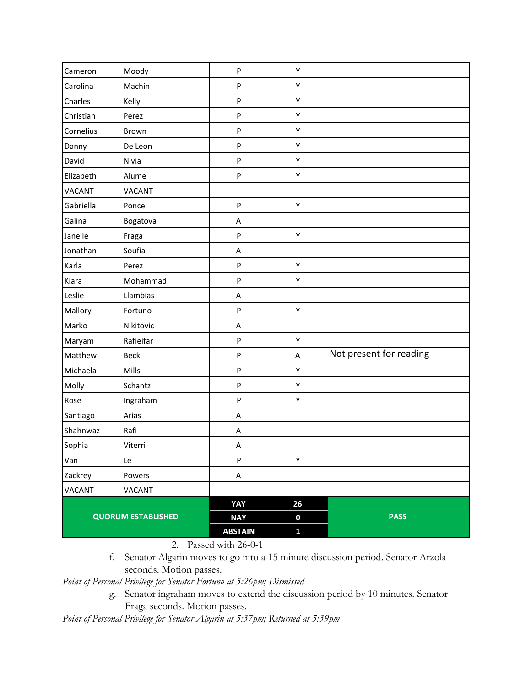| Rafi<br>Viterri<br>Le<br>Powers<br><b>VACANT</b><br><b>QUORUM ESTABLISHED</b> | A<br>A<br>P<br>A<br>YAY<br><b>NAY</b> | Υ<br>26<br>$\pmb{0}$ | <b>PASS</b>             |
|-------------------------------------------------------------------------------|---------------------------------------|----------------------|-------------------------|
|                                                                               |                                       |                      |                         |
|                                                                               |                                       |                      |                         |
|                                                                               |                                       |                      |                         |
|                                                                               |                                       |                      |                         |
|                                                                               |                                       |                      |                         |
|                                                                               |                                       |                      |                         |
|                                                                               |                                       |                      |                         |
| Arias                                                                         | A                                     |                      |                         |
| Ingraham                                                                      | P                                     | Υ                    |                         |
| Schantz                                                                       | $\sf P$                               | Υ                    |                         |
| Mills                                                                         | P                                     | Υ                    |                         |
| <b>Beck</b>                                                                   | P                                     | $\mathsf A$          | Not present for reading |
| Rafieifar                                                                     | P                                     | Υ                    |                         |
| Nikitovic                                                                     | A                                     |                      |                         |
| Fortuno                                                                       | P                                     | Υ                    |                         |
| Llambias                                                                      | A                                     |                      |                         |
| Mohammad                                                                      | P                                     | Υ                    |                         |
| Perez                                                                         | ${\sf P}$                             | Υ                    |                         |
| Soufia                                                                        | A                                     |                      |                         |
| Fraga                                                                         | P                                     | Υ                    |                         |
| Bogatova                                                                      | A                                     |                      |                         |
| Ponce                                                                         | P                                     | Υ                    |                         |
| <b>VACANT</b>                                                                 |                                       |                      |                         |
| Alume                                                                         | P                                     | Υ                    |                         |
| Nivia                                                                         | P                                     | Υ                    |                         |
| De Leon                                                                       | P                                     | Υ                    |                         |
| Brown                                                                         | $\boldsymbol{\mathsf{P}}$             | Υ                    |                         |
| Perez                                                                         | P                                     | Υ                    |                         |
| Kelly                                                                         | P                                     | Υ                    |                         |
| Machin                                                                        | P                                     | Υ                    |                         |
| Moody                                                                         | P                                     | Υ                    |                         |
|                                                                               |                                       |                      |                         |

2. Passed with 26-0-1

f. Senator Algarin moves to go into a 15 minute discussion period. Senator Arzola seconds. Motion passes.

*Point of Personal Privilege for Senator Fortuno at 5:26pm; Dismissed*

g. Senator ingraham moves to extend the discussion period by 10 minutes. Senator Fraga seconds. Motion passes.

*Point of Personal Privilege for Senator Algarin at 5:37pm; Returned at 5:39pm*